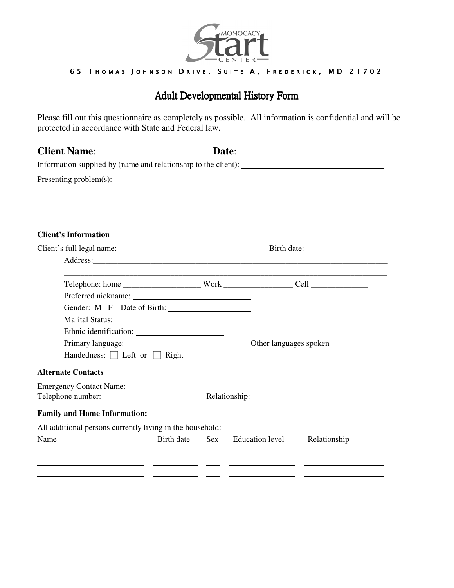

## 65 THOMAS JOHNSON DRIVE, SUITE A, FREDERICK, MD 21702

## Adult Developmental History Form

Please fill out this questionnaire as completely as possible. All information is confidential and will be protected in accordance with State and Federal law.

| <b>Client Name:</b>                                                                                                                                                                                                            |            |            |                        | Date:                                                                                                                                                                                                                          |
|--------------------------------------------------------------------------------------------------------------------------------------------------------------------------------------------------------------------------------|------------|------------|------------------------|--------------------------------------------------------------------------------------------------------------------------------------------------------------------------------------------------------------------------------|
| Information supplied by (name and relationship to the client):                                                                                                                                                                 |            |            |                        |                                                                                                                                                                                                                                |
| Presenting problem(s):                                                                                                                                                                                                         |            |            |                        |                                                                                                                                                                                                                                |
|                                                                                                                                                                                                                                |            |            |                        |                                                                                                                                                                                                                                |
| <b>Client's Information</b>                                                                                                                                                                                                    |            |            |                        |                                                                                                                                                                                                                                |
|                                                                                                                                                                                                                                |            |            |                        |                                                                                                                                                                                                                                |
| Address: Andreas Address: Address: Address: Address: Address: Address: Address: Address: Address: Address: Address: Address: Address: Address: Address: Address: Address: Address: Address: Address: Address: Address: Address |            |            |                        |                                                                                                                                                                                                                                |
|                                                                                                                                                                                                                                |            |            |                        |                                                                                                                                                                                                                                |
|                                                                                                                                                                                                                                |            |            |                        |                                                                                                                                                                                                                                |
| Gender: M F Date of Birth:                                                                                                                                                                                                     |            |            |                        |                                                                                                                                                                                                                                |
|                                                                                                                                                                                                                                |            |            |                        |                                                                                                                                                                                                                                |
|                                                                                                                                                                                                                                |            |            |                        |                                                                                                                                                                                                                                |
|                                                                                                                                                                                                                                |            |            |                        | Other languages spoken                                                                                                                                                                                                         |
| Handedness: $\Box$ Left or $\Box$ Right                                                                                                                                                                                        |            |            |                        |                                                                                                                                                                                                                                |
| <b>Alternate Contacts</b>                                                                                                                                                                                                      |            |            |                        |                                                                                                                                                                                                                                |
| Emergency Contact Name:                                                                                                                                                                                                        |            |            |                        |                                                                                                                                                                                                                                |
|                                                                                                                                                                                                                                |            |            |                        | Relationship: Network of the state of the state of the state of the state of the state of the state of the state of the state of the state of the state of the state of the state of the state of the state of the state of th |
| <b>Family and Home Information:</b>                                                                                                                                                                                            |            |            |                        |                                                                                                                                                                                                                                |
| All additional persons currently living in the household:                                                                                                                                                                      |            |            |                        |                                                                                                                                                                                                                                |
| Name                                                                                                                                                                                                                           | Birth date | <b>Sex</b> | <b>Education level</b> | Relationship                                                                                                                                                                                                                   |
| <u> 1986 - Andrea Andrew Maria III, martin a f</u>                                                                                                                                                                             |            |            |                        |                                                                                                                                                                                                                                |
| <u> 1986 - Andrea Andrew Maria (b. 1986)</u>                                                                                                                                                                                   |            |            |                        |                                                                                                                                                                                                                                |
|                                                                                                                                                                                                                                |            |            |                        |                                                                                                                                                                                                                                |
|                                                                                                                                                                                                                                |            |            |                        |                                                                                                                                                                                                                                |
|                                                                                                                                                                                                                                |            |            |                        |                                                                                                                                                                                                                                |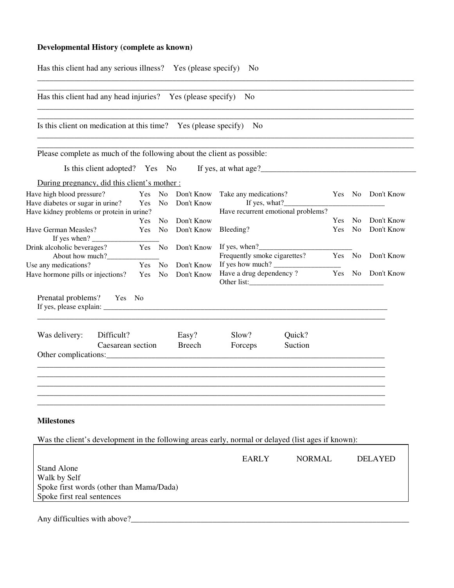## **Developmental History (complete as known)**

|                                                                                                                                                                                                                                       |        |        | Has this client had any head injuries? Yes (please specify) No |                                                                                       |                                    |     |        |                   |  |
|---------------------------------------------------------------------------------------------------------------------------------------------------------------------------------------------------------------------------------------|--------|--------|----------------------------------------------------------------|---------------------------------------------------------------------------------------|------------------------------------|-----|--------|-------------------|--|
| Is this client on medication at this time? Yes (please specify) No                                                                                                                                                                    |        |        |                                                                |                                                                                       |                                    |     |        |                   |  |
| Please complete as much of the following about the client as possible:                                                                                                                                                                |        |        |                                                                |                                                                                       |                                    |     |        |                   |  |
| Is this client adopted? Yes No If yes, at what age?<br><u>Same School</u> School and School School School School School School School School School School School School School School School School School School School School Scho |        |        |                                                                |                                                                                       |                                    |     |        |                   |  |
| During pregnancy, did this client's mother :                                                                                                                                                                                          |        |        |                                                                |                                                                                       |                                    |     |        |                   |  |
| Have high blood pressure?<br>Have diabetes or sugar in urine?<br>Have kidney problems or protein in urine?                                                                                                                            |        |        | Yes No Don't Know<br>Yes No Don't Know                         | Take any medications?<br>Have recurrent emotional problems?                           | If yes, what? $\frac{1}{\sqrt{2}}$ |     |        | Yes No Don't Know |  |
|                                                                                                                                                                                                                                       |        |        | Yes No Don't Know                                              |                                                                                       |                                    |     | Yes No | Don't Know        |  |
| Have German Measles?<br>If yes when? $\frac{1}{\sqrt{1-\frac{1}{2}}}\$                                                                                                                                                                |        |        | Yes No Don't Know                                              | Bleeding?                                                                             |                                    | Yes | No     | Don't Know        |  |
| Drink alcoholic beverages? Yes No Don't Know                                                                                                                                                                                          |        |        |                                                                | If yes, when? $\frac{1}{2}$<br>Frequently smoke cigarettes? Yes No Don't Know         |                                    |     |        |                   |  |
| Use any medications?<br>Have hormone pills or injections?                                                                                                                                                                             | Yes No | Yes No | Don't Know<br>Don't Know                                       | If yes how much? $\frac{1}{\frac{1}{2}}$<br>Have a drug dependency? Yes No Don't Know |                                    |     |        |                   |  |
| Prenatal problems? Yes No                                                                                                                                                                                                             |        |        |                                                                |                                                                                       |                                    |     |        |                   |  |
| Was delivery:<br>Difficult?                                                                                                                                                                                                           |        |        | Easy?                                                          | Slow?                                                                                 | Quick?                             |     |        |                   |  |
| Caesarean section Breech                                                                                                                                                                                                              |        |        |                                                                | Forceps                                                                               | Suction                            |     |        |                   |  |
|                                                                                                                                                                                                                                       |        |        |                                                                |                                                                                       |                                    |     |        |                   |  |
|                                                                                                                                                                                                                                       |        |        |                                                                |                                                                                       |                                    |     |        |                   |  |
|                                                                                                                                                                                                                                       |        |        |                                                                |                                                                                       |                                    |     |        |                   |  |
|                                                                                                                                                                                                                                       |        |        |                                                                |                                                                                       |                                    |     |        |                   |  |
| <b>Milestones</b><br>Was the client's development in the following areas early, normal or delayed (list ages if known):                                                                                                               |        |        |                                                                |                                                                                       |                                    |     |        |                   |  |

Any difficulties with above?\_\_\_\_\_\_\_\_\_\_\_\_\_\_\_\_\_\_\_\_\_\_\_\_\_\_\_\_\_\_\_\_\_\_\_\_\_\_\_\_\_\_\_\_\_\_\_\_\_\_\_\_\_\_\_\_\_\_\_\_\_\_\_\_\_\_\_\_

Spoke first real sentences

Spoke first words (other than Mama/Dada)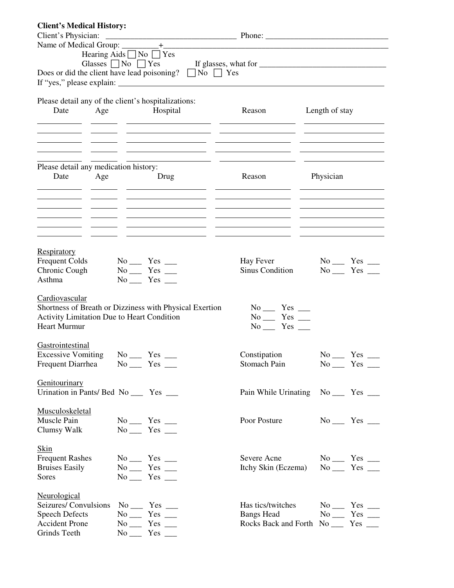| <b>Client's Medical History:</b>      |                                                                                           |                                                                                                                           |                   |
|---------------------------------------|-------------------------------------------------------------------------------------------|---------------------------------------------------------------------------------------------------------------------------|-------------------|
|                                       |                                                                                           |                                                                                                                           |                   |
|                                       |                                                                                           |                                                                                                                           |                   |
|                                       | Hearing Aids $\Box$ No $\Box$ Yes                                                         |                                                                                                                           |                   |
|                                       |                                                                                           | Glasses $\Box$ No $\Box$ Yes If glasses, what for $\Box$ $\Box$ $\Box$ $\Box$ $\Box$ $\Box$ $\Box$                        |                   |
|                                       | Does or did the client have lead poisoning? $\Box$ No $\Box$ Yes                          |                                                                                                                           |                   |
|                                       |                                                                                           |                                                                                                                           |                   |
|                                       |                                                                                           |                                                                                                                           |                   |
| Date                                  | Please detail any of the client's hospitalizations:<br>Age Hospital                       | Reason Length of stay                                                                                                     |                   |
|                                       |                                                                                           |                                                                                                                           |                   |
|                                       | the contract of the contract of the contract of the contract of the                       | <u> 2000 - Jan James James (h. 2000).</u> 2000 - 2000 - 2000 - 2000 - 2000 - 2000 - 2000 - 2000 - 2000 - 2000 - 2000 - 20 |                   |
|                                       |                                                                                           |                                                                                                                           |                   |
|                                       |                                                                                           |                                                                                                                           |                   |
|                                       |                                                                                           |                                                                                                                           |                   |
| Please detail any medication history: |                                                                                           |                                                                                                                           |                   |
| Date<br>Age                           | <b>Example 12</b> Drug                                                                    | Reason                                                                                                                    | Physician         |
|                                       | the control of the control of the control of the control of the control of the control of |                                                                                                                           |                   |
|                                       | <u> 2008 - Andrea Britain, amerikansk politik (</u>                                       |                                                                                                                           |                   |
|                                       |                                                                                           |                                                                                                                           |                   |
|                                       |                                                                                           |                                                                                                                           |                   |
|                                       |                                                                                           |                                                                                                                           |                   |
|                                       |                                                                                           |                                                                                                                           |                   |
| Respiratory                           |                                                                                           |                                                                                                                           |                   |
| <b>Frequent Colds</b>                 | $No$ $Yes$ $\_\_$                                                                         | <b>Hay Fever</b>                                                                                                          | $No$ $Yes$ $\_\_$ |
| Chronic Cough                         | $No$ $Yes$ $\_\_$                                                                         | Sinus Condition                                                                                                           | $No$ $Yes$ $\_\_$ |
| Asthma                                | $No$ $Yes$ $\_\_$                                                                         |                                                                                                                           |                   |
|                                       |                                                                                           |                                                                                                                           |                   |
| Cardiovascular                        |                                                                                           |                                                                                                                           |                   |
|                                       | Shortness of Breath or Dizziness with Physical Exertion                                   | $No$ $Yes$ $\_\_$                                                                                                         |                   |
| <b>Heart Murmur</b>                   | <b>Activity Limitation Due to Heart Condition</b>                                         | $No$ $Yes$ $\_\_$<br>$No$ $Yes$ $\_\_$                                                                                    |                   |
|                                       |                                                                                           |                                                                                                                           |                   |
| Gastrointestinal                      |                                                                                           |                                                                                                                           |                   |
|                                       | Excessive Vomiting No __ Yes __                                                           | Constipation                                                                                                              | $No$ $Yes$ $\_\_$ |
| Frequent Diarrhea                     | $No$ $Yes$ $\_\_$                                                                         | Stomach Pain                                                                                                              | $No$ $Yes$ $\_\_$ |
|                                       |                                                                                           |                                                                                                                           |                   |
| <b>Genitourinary</b>                  |                                                                                           |                                                                                                                           |                   |
|                                       | Urination in Pants/ Bed No _____ Yes ____                                                 | Pain While Urinating No ______ Yes _____                                                                                  |                   |
|                                       |                                                                                           |                                                                                                                           |                   |
| Musculoskeletal                       |                                                                                           |                                                                                                                           |                   |
| Muscle Pain                           | $No$ $Yes$ $\_\_$                                                                         | Poor Posture                                                                                                              | $No$ $Yes$ $\_\_$ |
| Clumsy Walk                           | $No$ $Yes$ $\_\_$                                                                         |                                                                                                                           |                   |
| Skin                                  |                                                                                           |                                                                                                                           |                   |
| <b>Frequent Rashes</b>                | $No$ $Yes$ $\_\_$                                                                         | Severe Acne                                                                                                               | $No$ $Yes$ $\_\_$ |
| <b>Bruises Easily</b>                 | $No$ $Yes$ $\_\_$                                                                         | Itchy Skin (Eczema)                                                                                                       | $No$ $Yes$ $\_\_$ |
| Sores                                 | $No$ <sub>__</sub> Yes __                                                                 |                                                                                                                           |                   |
|                                       |                                                                                           |                                                                                                                           |                   |
| Neurological                          |                                                                                           |                                                                                                                           |                   |
| Seizures/ Convulsions                 | $No$ $Yes$ $\_\_$                                                                         | Has tics/twitches                                                                                                         | $No$ $Yes$ $\_\_$ |
| <b>Speech Defects</b>                 | $No$ <sub>——</sub><br>$Yes \_\_$                                                          | <b>Bangs Head</b>                                                                                                         | $No$ $Yes$ $\_\_$ |
| <b>Accident Prone</b>                 | $No$ $Yes$ $\_\_$                                                                         | Rocks Back and Forth No ______ Yes _____                                                                                  |                   |
| Grinds Teeth                          | $No$ $Yes$ $\_\_$                                                                         |                                                                                                                           |                   |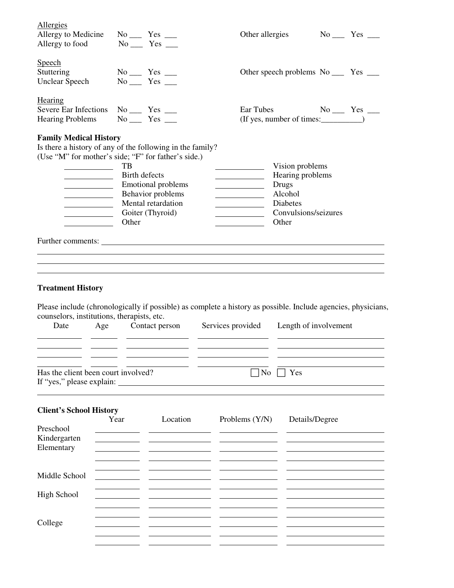| <b>Allergies</b><br>Allergy to Medicine<br>Allergy to food                                                                                                                                                                                                                                                                                |                              | $No$ $Yes$ $\_\_$<br>$No$ $Yes$ $\_\_$                                                   | Other allergies                                                                                                                                       |                                                                                                             | $No$ $Yes$ $\_\_$ |
|-------------------------------------------------------------------------------------------------------------------------------------------------------------------------------------------------------------------------------------------------------------------------------------------------------------------------------------------|------------------------------|------------------------------------------------------------------------------------------|-------------------------------------------------------------------------------------------------------------------------------------------------------|-------------------------------------------------------------------------------------------------------------|-------------------|
| Speech<br>Stuttering<br><b>Unclear Speech</b>                                                                                                                                                                                                                                                                                             |                              | $No$ $Yes$ $\_\_$<br>$No$ <sub>__</sub> Yes __                                           |                                                                                                                                                       | Other speech problems No ______ Yes _____                                                                   |                   |
| Hearing<br>Severe Ear Infections No _____ Yes ____<br><b>Hearing Problems</b>                                                                                                                                                                                                                                                             |                              | $No$ $Yes$ $\_\_$                                                                        | Ear Tubes                                                                                                                                             |                                                                                                             | $No$ $Yes$ $\_\_$ |
| <b>Family Medical History</b><br>Is there a history of any of the following in the family?<br>(Use "M" for mother's side; "F" for father's side.)<br><u> 1990 - Johann Barbara, martin a</u><br><u> 1989 - Johann Barbara, martin a</u><br><u> 1989 - Johann Barbara, martin a</u><br><u> 1980 - John Barn Barn, amerikansk politiker</u> | TВ<br>Birth defects<br>Other | <b>Emotional problems</b><br>Behavior problems<br>Mental retardation<br>Goiter (Thyroid) | <u> 1980 - John Barn Barn, amerikansk politiker</u><br><u> 1989 - John Barn Barn, amerikansk politiker</u><br><u> 1989 - Johann Barbara, martin a</u> | Vision problems<br>Hearing problems<br><b>Drugs</b><br>Alcohol<br>Diabetes<br>Convulsions/seizures<br>Other |                   |
|                                                                                                                                                                                                                                                                                                                                           |                              |                                                                                          |                                                                                                                                                       |                                                                                                             |                   |
| <b>Treatment History</b>                                                                                                                                                                                                                                                                                                                  |                              |                                                                                          |                                                                                                                                                       |                                                                                                             |                   |
| Please include (chronologically if possible) as complete a history as possible. Include agencies, physicians,<br>counselors, institutions, therapists, etc.<br>Date<br>Age                                                                                                                                                                |                              | Contact person                                                                           | Services provided                                                                                                                                     | Length of involvement                                                                                       |                   |
| Has the client been court involved?<br>If "yes," please explain:                                                                                                                                                                                                                                                                          |                              |                                                                                          | N <sub>o</sub>                                                                                                                                        | Yes                                                                                                         |                   |
| <b>Client's School History</b><br>Preschool<br>Kindergarten<br>Elementary                                                                                                                                                                                                                                                                 | Year                         | Location                                                                                 | Problems (Y/N)                                                                                                                                        | Details/Degree                                                                                              |                   |
| Middle School                                                                                                                                                                                                                                                                                                                             |                              |                                                                                          |                                                                                                                                                       |                                                                                                             |                   |

High School College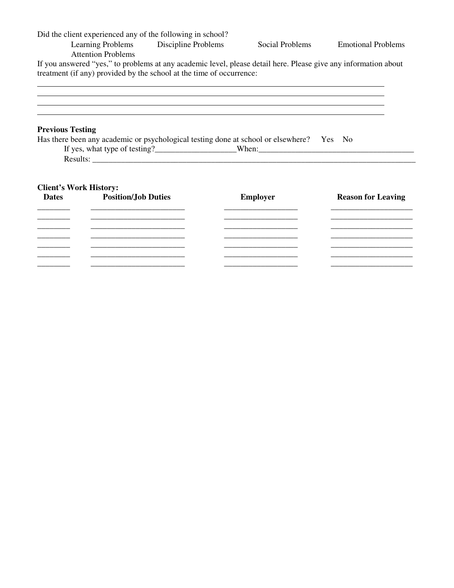|                               |                                                           | Did the client experienced any of the following in school?<br>Learning Problems Discipline Problems                  | Social Problems                                                                                                 | <b>Emotional Problems</b> |  |
|-------------------------------|-----------------------------------------------------------|----------------------------------------------------------------------------------------------------------------------|-----------------------------------------------------------------------------------------------------------------|---------------------------|--|
|                               | <b>Attention Problems</b>                                 |                                                                                                                      |                                                                                                                 |                           |  |
|                               |                                                           |                                                                                                                      | If you answered "yes," to problems at any academic level, please detail here. Please give any information about |                           |  |
|                               |                                                           | treatment (if any) provided by the school at the time of occurrence:                                                 |                                                                                                                 |                           |  |
|                               |                                                           |                                                                                                                      |                                                                                                                 |                           |  |
|                               |                                                           |                                                                                                                      |                                                                                                                 |                           |  |
|                               |                                                           |                                                                                                                      |                                                                                                                 |                           |  |
| <b>Previous Testing</b>       |                                                           |                                                                                                                      |                                                                                                                 |                           |  |
|                               |                                                           |                                                                                                                      | Has there been any academic or psychological testing done at school or elsewhere? Yes No                        |                           |  |
|                               |                                                           |                                                                                                                      |                                                                                                                 |                           |  |
|                               |                                                           |                                                                                                                      |                                                                                                                 |                           |  |
|                               |                                                           |                                                                                                                      |                                                                                                                 |                           |  |
| <b>Client's Work History:</b> |                                                           |                                                                                                                      |                                                                                                                 |                           |  |
| <b>Dates</b>                  | <b>Position/Job Duties</b>                                |                                                                                                                      | <b>Employer</b>                                                                                                 | <b>Reason for Leaving</b> |  |
|                               |                                                           |                                                                                                                      |                                                                                                                 |                           |  |
|                               | <u> 1980 - Johann John Stone, markin amerikan bizi da</u> | <u> 1980 - Johann John Stone, market fan it ferstjer fan it ferstjer fan it ferstjer fan it ferstjer fan it fers</u> |                                                                                                                 |                           |  |
|                               |                                                           |                                                                                                                      |                                                                                                                 |                           |  |
|                               |                                                           |                                                                                                                      |                                                                                                                 |                           |  |
|                               |                                                           |                                                                                                                      |                                                                                                                 |                           |  |
|                               |                                                           |                                                                                                                      |                                                                                                                 |                           |  |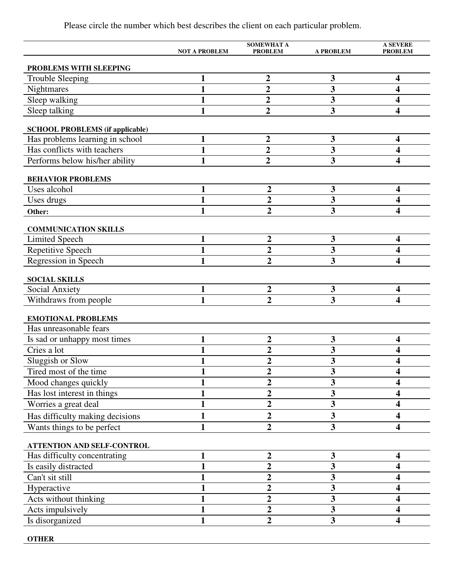|                                                     | <b>NOT A PROBLEM</b> | <b>SOMEWHAT A</b><br><b>PROBLEM</b> | <b>A PROBLEM</b>        | <b>A SEVERE</b><br><b>PROBLEM</b> |
|-----------------------------------------------------|----------------------|-------------------------------------|-------------------------|-----------------------------------|
|                                                     |                      |                                     |                         |                                   |
| PROBLEMS WITH SLEEPING                              |                      | $\boldsymbol{2}$                    | $\mathbf{3}$            | 4                                 |
| <b>Trouble Sleeping</b>                             | 1<br>$\mathbf{1}$    | $\overline{2}$                      | $\overline{\mathbf{3}}$ | 4                                 |
| Nightmares                                          |                      |                                     |                         |                                   |
| Sleep walking                                       | 1                    | $\overline{2}$                      | 3                       | 4                                 |
| Sleep talking                                       | 1                    | $\overline{2}$                      | $\overline{\mathbf{3}}$ | 4                                 |
| <b>SCHOOL PROBLEMS (if applicable)</b>              |                      |                                     |                         |                                   |
| Has problems learning in school                     | 1                    | $\mathbf{2}$                        | 3                       | $\overline{\mathbf{4}}$           |
| Has conflicts with teachers                         | 1                    | $\overline{2}$                      | $\overline{\mathbf{3}}$ | 4                                 |
| Performs below his/her ability                      | $\mathbf{1}$         | $\overline{2}$                      | $\overline{\mathbf{3}}$ | 4                                 |
| <b>BEHAVIOR PROBLEMS</b>                            |                      |                                     |                         |                                   |
| Uses alcohol                                        | 1                    | $\overline{2}$                      | $\mathbf{3}$            | $\overline{\mathbf{4}}$           |
| Uses drugs                                          | $\mathbf{1}$         | $\overline{2}$                      | $\overline{\mathbf{3}}$ | 4                                 |
| Other:                                              | 1                    | $\overline{2}$                      | $\overline{\mathbf{3}}$ | 4                                 |
|                                                     |                      |                                     |                         |                                   |
| <b>COMMUNICATION SKILLS</b>                         |                      |                                     |                         |                                   |
| <b>Limited Speech</b>                               | 1                    | $\overline{2}$                      | $\mathbf{3}$            | 4                                 |
| Repetitive Speech                                   | 1                    | $\overline{2}$                      | 3                       | 4                                 |
| Regression in Speech                                | 1                    | $\overline{2}$                      | $\overline{\mathbf{3}}$ | 4                                 |
| <b>SOCIAL SKILLS</b>                                |                      |                                     |                         |                                   |
| Social Anxiety                                      | 1                    | $\overline{2}$                      | 3                       | 4                                 |
| Withdraws from people                               | 1                    | $\overline{2}$                      | $\overline{\mathbf{3}}$ | 4                                 |
|                                                     |                      |                                     |                         |                                   |
| <b>EMOTIONAL PROBLEMS</b><br>Has unreasonable fears |                      |                                     |                         |                                   |
|                                                     | 1                    | $\overline{2}$                      | 3                       | 4                                 |
| Is sad or unhappy most times<br>Cries a lot         | 1                    | $\overline{2}$                      | $\mathbf{3}$            | 4                                 |
| Sluggish or Slow                                    | 1                    | $\overline{2}$                      | $\overline{\mathbf{3}}$ | 4                                 |
| Tired most of the time                              |                      | $\mathfrak{D}$                      | 3                       | 4                                 |
|                                                     | 1                    | $\overline{2}$                      | $\mathbf{3}$            | 4                                 |
| Mood changes quickly                                |                      | $\overline{\mathbf{2}}$             | $\mathbf{3}$            |                                   |
| Has lost interest in things                         | 1<br>1               | $\overline{2}$                      | $\mathbf{3}$            | 4<br>4                            |
| Worries a great deal                                |                      | $\overline{2}$                      |                         |                                   |
| Has difficulty making decisions                     | 1                    |                                     | $\overline{\mathbf{3}}$ | $\overline{\mathbf{4}}$           |
| Wants things to be perfect                          | 1                    | $\overline{2}$                      | $\mathbf{3}$            | 4                                 |
| ATTENTION AND SELF-CONTROL                          |                      |                                     |                         |                                   |
| Has difficulty concentrating                        | 1                    | $\overline{\mathbf{c}}$             | $\mathbf{3}$            | 4                                 |
| Is easily distracted                                | 1                    | $\overline{2}$                      | $\mathbf{3}$            | 4                                 |
| Can't sit still                                     |                      | $\overline{2}$                      | $\overline{\mathbf{3}}$ | 4                                 |
| Hyperactive                                         |                      | 2                                   | 3                       | 4                                 |
| Acts without thinking                               |                      | $\overline{2}$                      | $\overline{\mathbf{3}}$ | 4                                 |
| Acts impulsively                                    | 1                    | $\overline{2}$                      | $\overline{\mathbf{3}}$ | 4                                 |
| Is disorganized                                     | 1                    | $\overline{2}$                      | $\overline{\mathbf{3}}$ | 4                                 |
|                                                     |                      |                                     |                         |                                   |

**OTHER** 

Please circle the number which best describes the client on each particular problem.